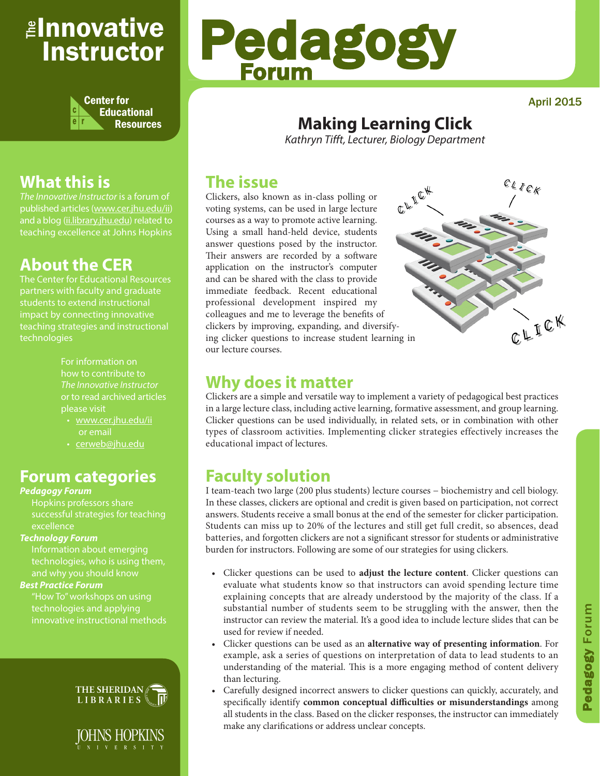## <sub>≝l</sub>nnovative Instructor



### **What this is**

*The Innovative Instructor* is a forum of published articles (www.cer.jhu.edu/ii) and a blog (ii.library.jhu.edu) related to teaching excellence at Johns Hopkins

### **About the CER**

The Center for Educational Resources impact by connecting innovative teaching strategies and instructional technologies

> For information on how to contribute to *The Innovative Instructor* or to read archived articles please visit

- www.cer.jhu.edu/ii or email
- cerweb@jhu.edu

### **Forum categories**

### *Pedagogy Forum*

Hopkins professors share successful strategies for teaching excellence

### *Technology Forum*

Information about emerging technologies, who is using them,

### *Best Practice Forum*

"How To" workshops on using technologies and applying innovative instructional methods





# Pedagogy Forum

April 2015

### **Making Learning Click**

*Kathryn Tifft, Lecturer, Biology Department*

### **The issue**

Clickers, also known as in-class polling or voting systems, can be used in large lecture courses as a way to promote active learning. Using a small hand-held device, students answer questions posed by the instructor. Their answers are recorded by a software application on the instructor's computer and can be shared with the class to provide immediate feedback. Recent educational professional development inspired my colleagues and me to leverage the benefits of clickers by improving, expanding, and diversifying clicker questions to increase student learning in our lecture courses.



### **Why does it matter**

Clickers are a simple and versatile way to implement a variety of pedagogical best practices in a large lecture class, including active learning, formative assessment, and group learning. Clicker questions can be used individually, in related sets, or in combination with other types of classroom activities. Implementing clicker strategies effectively increases the educational impact of lectures.

### **Faculty solution**

I team-teach two large (200 plus students) lecture courses − biochemistry and cell biology. In these classes, clickers are optional and credit is given based on participation, not correct answers. Students receive a small bonus at the end of the semester for clicker participation. Students can miss up to 20% of the lectures and still get full credit, so absences, dead batteries, and forgotten clickers are not a significant stressor for students or administrative burden for instructors. Following are some of our strategies for using clickers.

- Clicker questions can be used to **adjust the lecture content**. Clicker questions can evaluate what students know so that instructors can avoid spending lecture time explaining concepts that are already understood by the majority of the class. If a substantial number of students seem to be struggling with the answer, then the instructor can review the material. It's a good idea to include lecture slides that can be used for review if needed.
- Clicker questions can be used as an **alternative way of presenting information**. For example, ask a series of questions on interpretation of data to lead students to an understanding of the material. This is a more engaging method of content delivery than lecturing.
- Carefully designed incorrect answers to clicker questions can quickly, accurately, and specifically identify **common conceptual difficulties or misunderstandings** among all students in the class. Based on the clicker responses, the instructor can immediately make any clarifications or address unclear concepts.